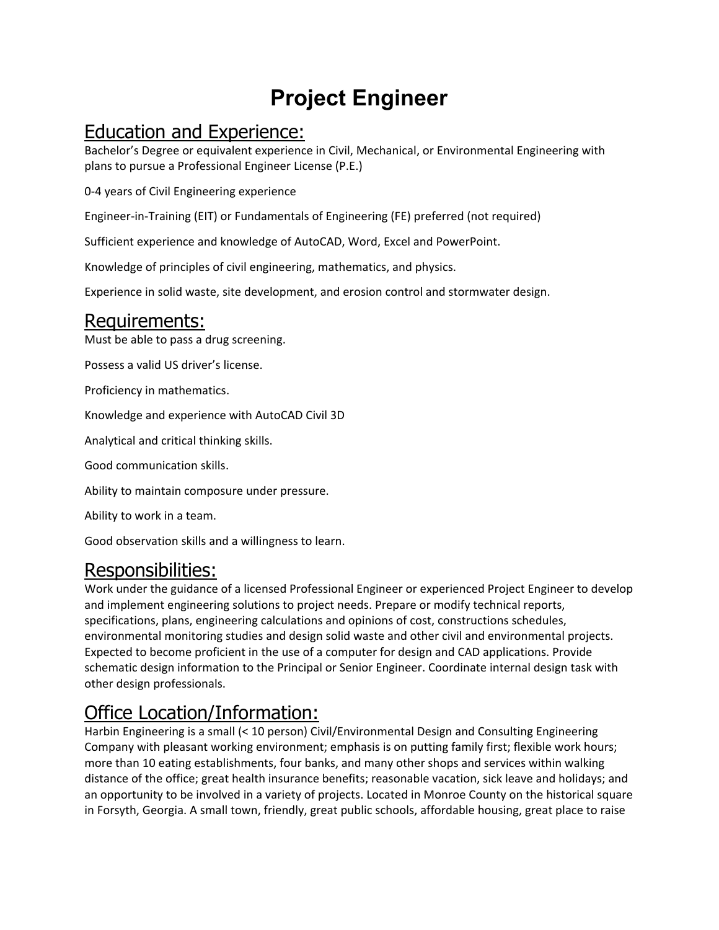# **Project Engineer**

## Education and Experience:

Bachelor's Degree or equivalent experience in Civil, Mechanical, or Environmental Engineering with plans to pursue a Professional Engineer License (P.E.)

0‐4 years of Civil Engineering experience

Engineer‐in‐Training (EIT) or Fundamentals of Engineering (FE) preferred (not required)

Sufficient experience and knowledge of AutoCAD, Word, Excel and PowerPoint.

Knowledge of principles of civil engineering, mathematics, and physics.

Experience in solid waste, site development, and erosion control and stormwater design.

## Requirements:

Must be able to pass a drug screening.

Possess a valid US driver's license.

Proficiency in mathematics.

Knowledge and experience with AutoCAD Civil 3D

Analytical and critical thinking skills.

Good communication skills.

Ability to maintain composure under pressure.

Ability to work in a team.

Good observation skills and a willingness to learn.

#### Responsibilities:

Work under the guidance of a licensed Professional Engineer or experienced Project Engineer to develop and implement engineering solutions to project needs. Prepare or modify technical reports, specifications, plans, engineering calculations and opinions of cost, constructions schedules, environmental monitoring studies and design solid waste and other civil and environmental projects. Expected to become proficient in the use of a computer for design and CAD applications. Provide schematic design information to the Principal or Senior Engineer. Coordinate internal design task with other design professionals.

# Office Location/Information:

Harbin Engineering is a small (< 10 person) Civil/Environmental Design and Consulting Engineering Company with pleasant working environment; emphasis is on putting family first; flexible work hours; more than 10 eating establishments, four banks, and many other shops and services within walking distance of the office; great health insurance benefits; reasonable vacation, sick leave and holidays; and an opportunity to be involved in a variety of projects. Located in Monroe County on the historical square in Forsyth, Georgia. A small town, friendly, great public schools, affordable housing, great place to raise